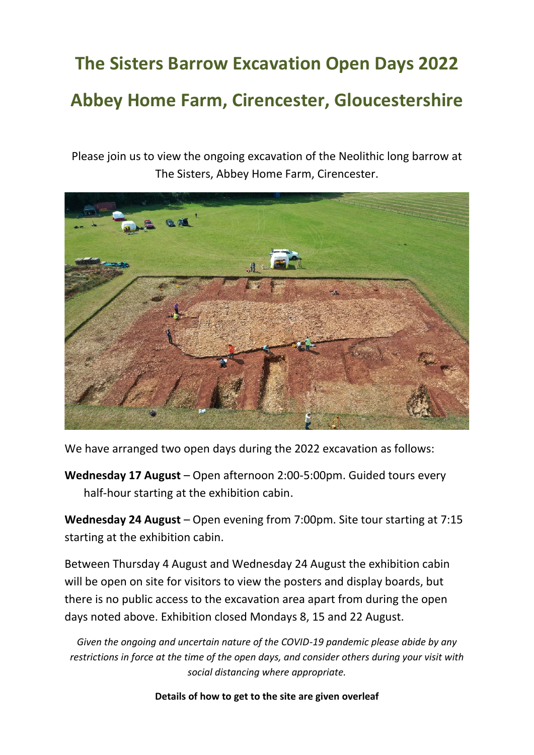## **The Sisters Barrow Excavation Open Days 2022 Abbey Home Farm, Cirencester, Gloucestershire**

Please join us to view the ongoing excavation of the Neolithic long barrow at The Sisters, Abbey Home Farm, Cirencester.



We have arranged two open days during the 2022 excavation as follows:

**Wednesday 17 August** – Open afternoon 2:00-5:00pm. Guided tours every half-hour starting at the exhibition cabin.

**Wednesday 24 August** – Open evening from 7:00pm. Site tour starting at 7:15 starting at the exhibition cabin.

Between Thursday 4 August and Wednesday 24 August the exhibition cabin will be open on site for visitors to view the posters and display boards, but there is no public access to the excavation area apart from during the open days noted above. Exhibition closed Mondays 8, 15 and 22 August.

*Given the ongoing and uncertain nature of the COVID-19 pandemic please abide by any restrictions in force at the time of the open days, and consider others during your visit with social distancing where appropriate.*

## **Details of how to get to the site are given overleaf**